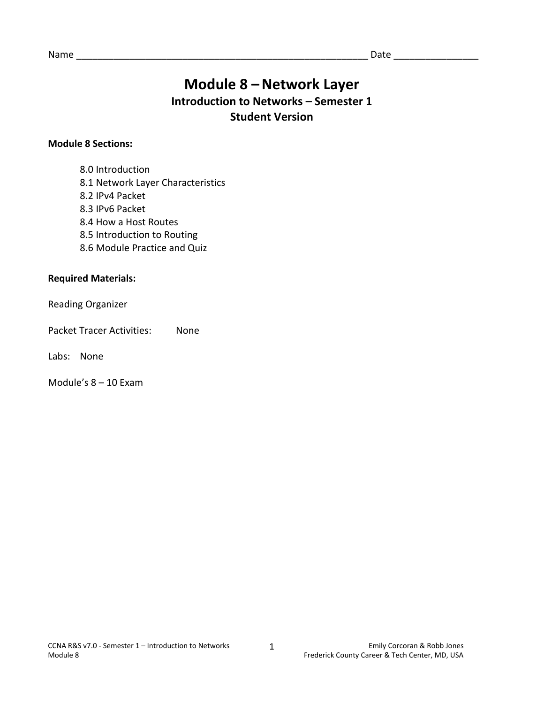# **Module 8 –Network Layer Introduction to Networks – Semester 1 Student Version**

#### **Module 8 Sections:**

- 8.0 Introduction
- 8.1 Network Layer Characteristics
- 8.2 IPv4 Packet
- 8.3 IPv6 Packet
- 8.4 How a Host Routes
- 8.5 Introduction to Routing
- 8.6 Module Practice and Quiz

## **Required Materials:**

Reading Organizer

Packet Tracer Activities: None

Labs: None

Module's 8 – 10 Exam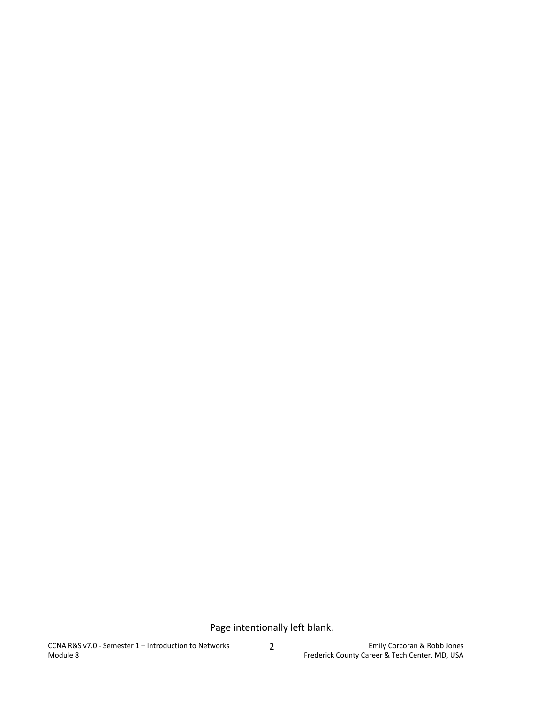Page intentionally left blank.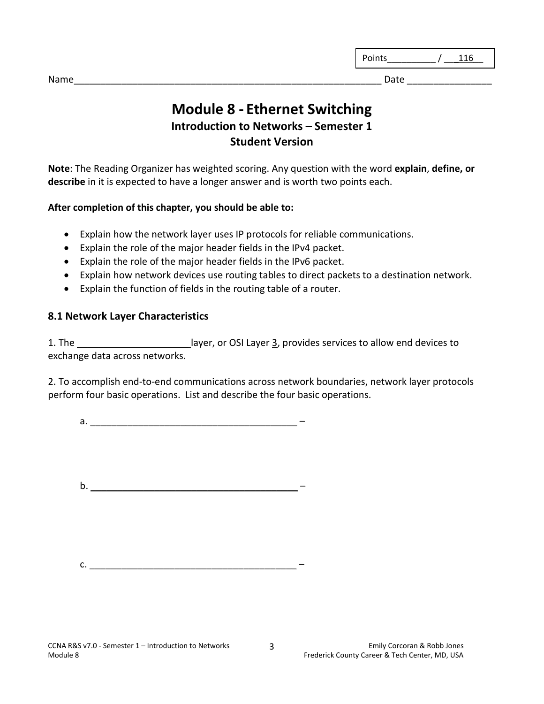## **Module 8 - Ethernet Switching Introduction to Networks – Semester 1 Student Version**

**Note**: The Reading Organizer has weighted scoring. Any question with the word **explain**, **define, or describe** in it is expected to have a longer answer and is worth two points each.

## **After completion of this chapter, you should be able to:**

- Explain how the network layer uses IP protocols for reliable communications.
- Explain the role of the major header fields in the IPv4 packet.
- Explain the role of the major header fields in the IPv6 packet.
- Explain how network devices use routing tables to direct packets to a destination network.
- Explain the function of fields in the routing table of a router.

## **8.1 Network Layer Characteristics**

1. The \_\_\_\_\_\_\_\_\_\_\_\_\_\_\_\_\_\_\_\_\_\_layer, or OSI Layer 3, provides services to allow end devices to exchange data across networks.

2. To accomplish end-to-end communications across network boundaries, network layer protocols perform four basic operations. List and describe the four basic operations.

a.  $\overline{a}$  $b.$ 

 $c.$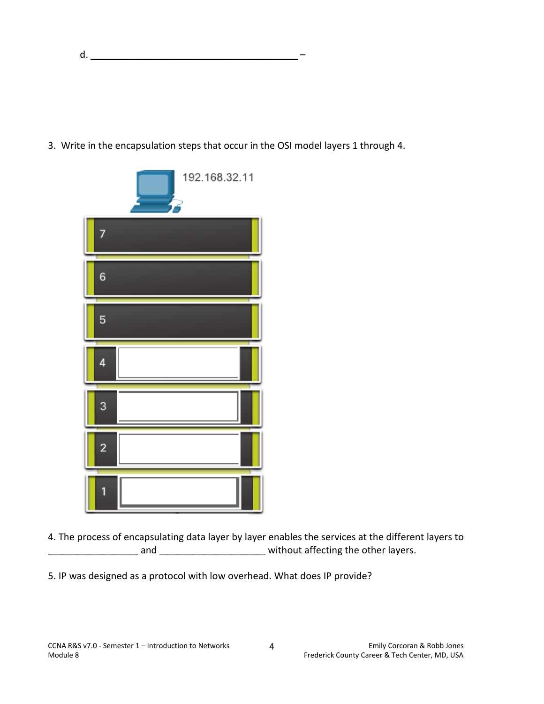



3. Write in the encapsulation steps that occur in the OSI model layers 1 through 4.

- 4. The process of encapsulating data layer by layer enables the services at the different layers to **EXECUTE:** And and **EXECUTE:** and **EXECUTE:** without affecting the other layers.
- 5. IP was designed as a protocol with low overhead. What does IP provide?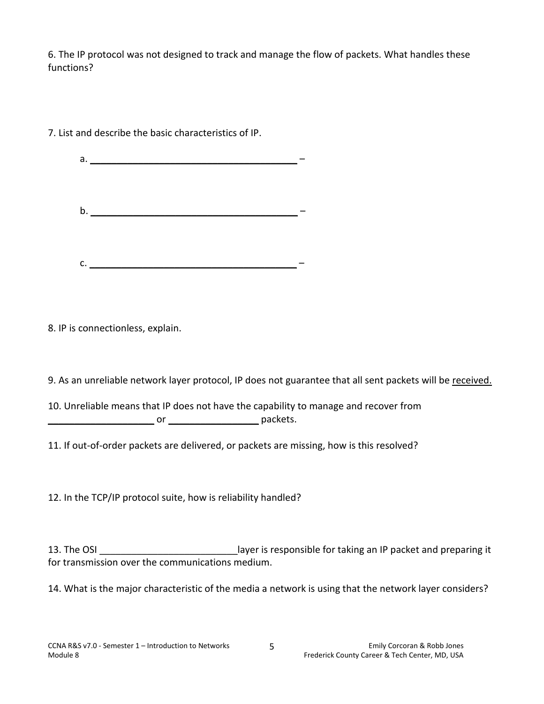6. The IP protocol was not designed to track and manage the flow of packets. What handles these functions?

7. List and describe the basic characteristics of IP.

a. \_\_\_\_\_\_\_\_\_\_\_\_\_\_\_\_\_\_\_\_\_\_\_\_\_\_\_\_\_\_\_\_\_\_\_\_\_\_\_ –

b. \_\_\_\_\_\_\_\_\_\_\_\_\_\_\_\_\_\_\_\_\_\_\_\_\_\_\_\_\_\_\_\_\_\_\_\_\_\_\_ –

c. \_\_\_\_\_\_\_\_\_\_\_\_\_\_\_\_\_\_\_\_\_\_\_\_\_\_\_\_\_\_\_\_\_\_\_\_\_\_\_ –

8. IP is connectionless, explain.

9. As an unreliable network layer protocol, IP does not guarantee that all sent packets will be received.

10. Unreliable means that IP does not have the capability to manage and recover from \_\_\_\_\_\_\_\_\_\_\_\_\_\_\_\_\_\_\_\_ or \_\_\_\_\_\_\_\_\_\_\_\_\_\_\_\_\_ packets.

11. If out-of-order packets are delivered, or packets are missing, how is this resolved?

12. In the TCP/IP protocol suite, how is reliability handled?

13. The OSI \_\_\_\_\_\_\_\_\_\_\_\_\_\_\_\_\_\_\_\_\_\_\_\_\_\_\_\_\_\_\_\_\_layer is responsible for taking an IP packet and preparing it for transmission over the communications medium.

14. What is the major characteristic of the media a network is using that the network layer considers?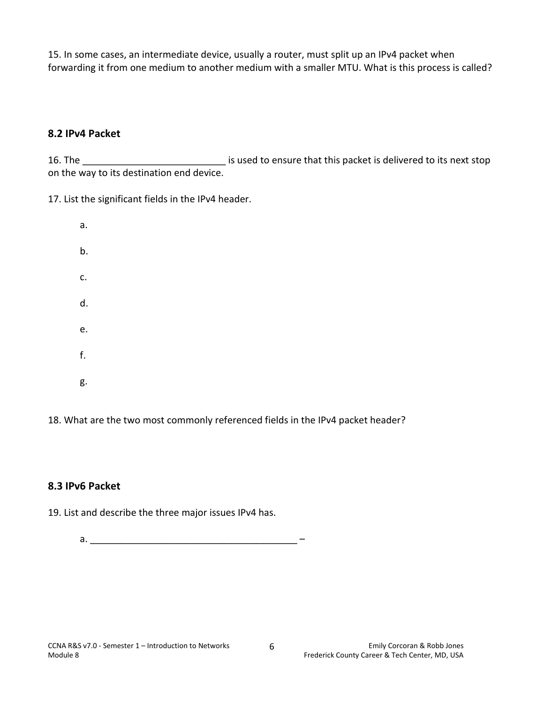15. In some cases, an intermediate device, usually a router, must split up an IPv4 packet when forwarding it from one medium to another medium with a smaller MTU. What is this process is called?

## **8.2 IPv4 Packet**

16. The \_\_\_\_\_\_\_\_\_\_\_\_\_\_\_\_\_\_\_\_\_\_\_\_\_\_\_ is used to ensure that this packet is delivered to its next stop on the way to its destination end device.

17. List the significant fields in the IPv4 header.

| a.            |  |  |
|---------------|--|--|
| b.            |  |  |
| c.            |  |  |
| d.            |  |  |
| $\mathsf{e}.$ |  |  |
| f.            |  |  |
| g.            |  |  |

18. What are the two most commonly referenced fields in the IPv4 packet header?

## **8.3 IPv6 Packet**

- 19. List and describe the three major issues IPv4 has.
	- a.  $\frac{1}{2}$   $\frac{1}{2}$   $\frac{1}{2}$   $\frac{1}{2}$   $\frac{1}{2}$   $\frac{1}{2}$   $\frac{1}{2}$   $\frac{1}{2}$   $\frac{1}{2}$   $\frac{1}{2}$   $\frac{1}{2}$   $\frac{1}{2}$   $\frac{1}{2}$   $\frac{1}{2}$   $\frac{1}{2}$   $\frac{1}{2}$   $\frac{1}{2}$   $\frac{1}{2}$   $\$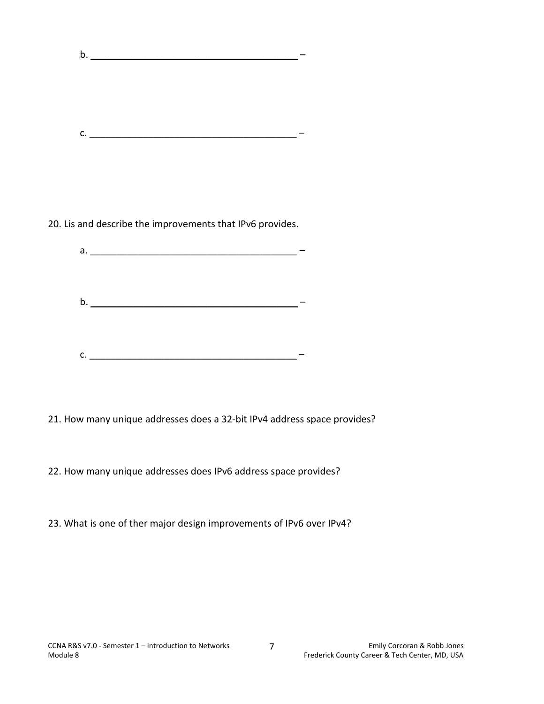| b |  |  |  |
|---|--|--|--|
|   |  |  |  |
|   |  |  |  |
|   |  |  |  |
|   |  |  |  |
|   |  |  |  |
| C |  |  |  |

20. Lis and describe the improvements that IPv6 provides.

| a. |  |
|----|--|
|    |  |
|    |  |
|    |  |
| b. |  |
|    |  |
|    |  |
|    |  |
| c. |  |

21. How many unique addresses does a 32-bit IPv4 address space provides?

22. How many unique addresses does IPv6 address space provides?

23. What is one of ther major design improvements of IPv6 over IPv4?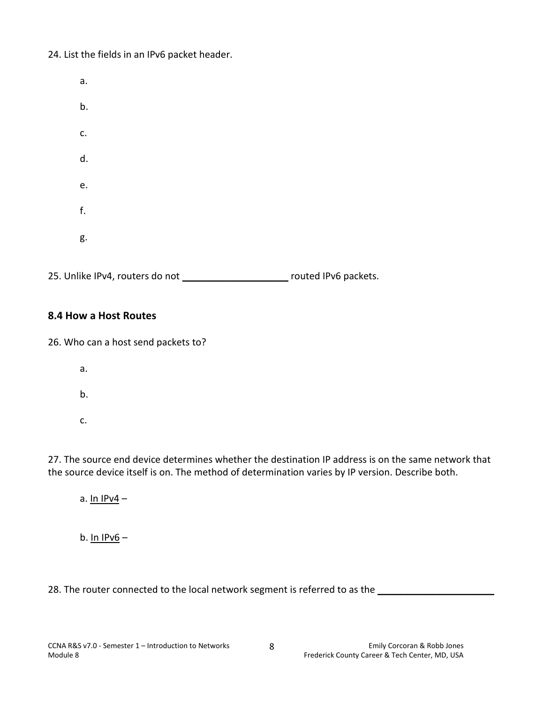24. List the fields in an IPv6 packet header.

| а.                                |                      |
|-----------------------------------|----------------------|
| b.                                |                      |
| c.                                |                      |
| d.                                |                      |
| e.                                |                      |
| f.                                |                      |
| g.                                |                      |
| 25. Unlike IPv4, routers do not _ | routed IPv6 packets. |

## **8.4 How a Host Routes**

| 26. Who can a host send packets to? |  |  |  |  |  |
|-------------------------------------|--|--|--|--|--|
| а.                                  |  |  |  |  |  |
|                                     |  |  |  |  |  |

b.

c.

27. The source end device determines whether the destination IP address is on the same network that the source device itself is on. The method of determination varies by IP version. Describe both.

a.  $ln IPv4 -$ 

b. In  $IPv6$  –

28. The router connected to the local network segment is referred to as the \_\_\_\_\_\_\_\_\_\_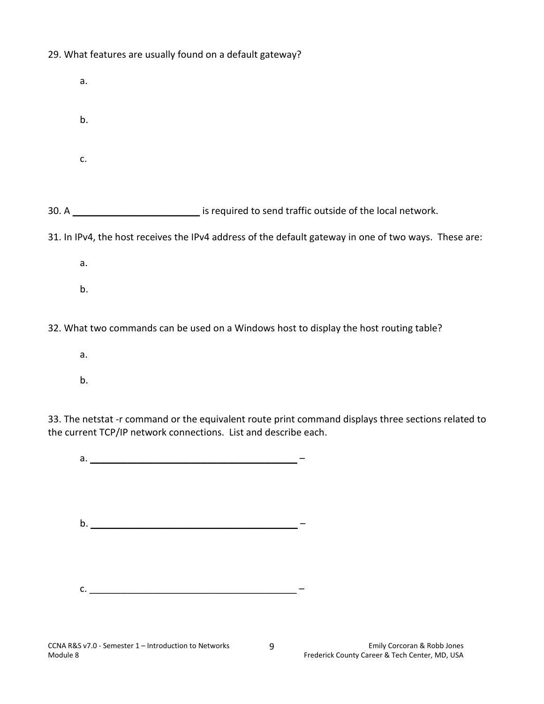29. What features are usually found on a default gateway?

|       | a.                                                                                                    |
|-------|-------------------------------------------------------------------------------------------------------|
|       | b.                                                                                                    |
|       | c.                                                                                                    |
|       |                                                                                                       |
| 30. A | is required to send traffic outside of the local network.                                             |
|       | 31. In IPv4, the host receives the IPv4 address of the default gateway in one of two ways. These are: |
|       | a.                                                                                                    |
|       | b.                                                                                                    |
|       |                                                                                                       |
|       | 32. What two commands can be used on a Windows host to display the host routing table?                |
|       | a.                                                                                                    |

b.

33. The netstat -r command or the equivalent route print command displays three sections related to the current TCP/IP network connections. List and describe each.

a. \_\_\_\_\_\_\_\_\_\_\_\_\_\_\_\_\_\_\_\_\_\_\_\_\_\_\_\_\_\_\_\_\_\_\_\_\_\_\_ –  $b.$   $$ c.  $\frac{1}{2}$  –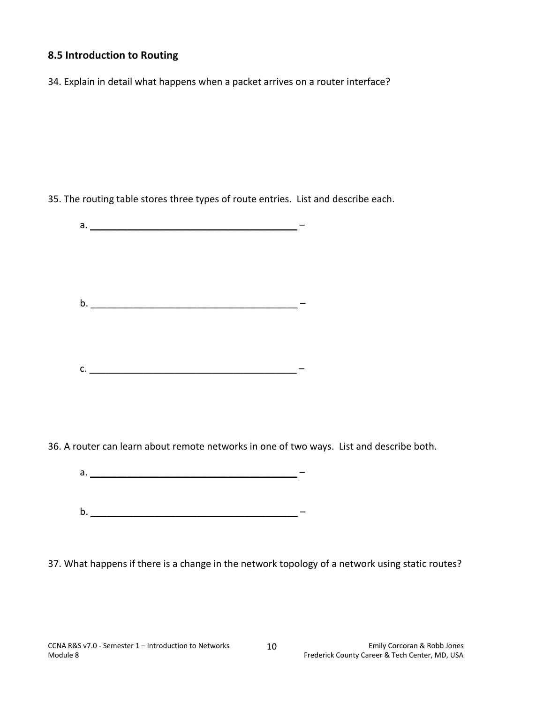## **8.5 Introduction to Routing**

34. Explain in detail what happens when a packet arrives on a router interface?

35. The routing table stores three types of route entries. List and describe each.

| $\mathsf{a}$ . $\qquad \qquad$ |  |
|--------------------------------|--|
|                                |  |
|                                |  |
|                                |  |
|                                |  |
|                                |  |
|                                |  |
| $\mathsf b.$ $\blacksquare$    |  |
|                                |  |
|                                |  |
|                                |  |
|                                |  |
| c.                             |  |
|                                |  |

36. A router can learn about remote networks in one of two ways. List and describe both.

a. \_\_\_\_\_\_\_\_\_\_\_\_\_\_\_\_\_\_\_\_\_\_\_\_\_\_\_\_\_\_\_\_\_\_\_\_\_\_\_ – b. \_\_\_\_\_\_\_\_\_\_\_\_\_\_\_\_\_\_\_\_\_\_\_\_\_\_\_\_\_\_\_\_\_\_\_\_\_\_\_ –

37. What happens if there is a change in the network topology of a network using static routes?